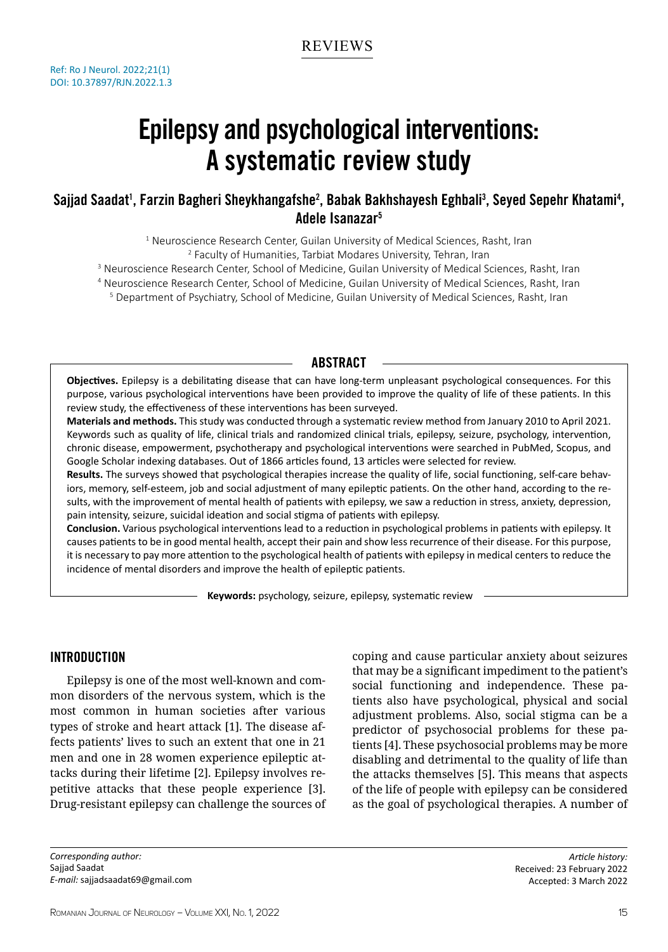# Epilepsy and psychological interventions: A systematic review study

# Sajjad Saadat<sup>1</sup>, Farzin Bagheri Sheykhangafshe<sup>2</sup>, Babak Bakhshayesh Eghbali<sup>3</sup>, Seyed Sepehr Khatami<sup>4</sup>, Adele Isanazar5

<sup>1</sup> Neuroscience Research Center, Guilan University of Medical Sciences, Rasht, Iran<br><sup>2</sup> Eaculty of Humanities, Tarbiat Modares University Tebran, Iran <sup>2</sup> Faculty of Humanities, Tarbiat Modares University, Tehran, Iran

<sup>3</sup> Neuroscience Research Center, School of Medicine, Guilan University of Medical Sciences, Rasht, Iran

4 Neuroscience Research Center, School of Medicine, Guilan University of Medical Sciences, Rasht, Iran

5 Department of Psychiatry, School of Medicine, Guilan University of Medical Sciences, Rasht, Iran

## **ABSTRACT**

**Objectives.** Epilepsy is a debilitating disease that can have long-term unpleasant psychological consequences. For this purpose, various psychological interventions have been provided to improve the quality of life of these patients. In this review study, the effectiveness of these interventions has been surveyed.

**Materials and methods.** This study was conducted through a systematic review method from January 2010 to April 2021. Keywords such as quality of life, clinical trials and randomized clinical trials, epilepsy, seizure, psychology, intervention, chronic disease, empowerment, psychotherapy and psychological interventions were searched in PubMed, Scopus, and Google Scholar indexing databases. Out of 1866 articles found, 13 articles were selected for review.

**Results.** The surveys showed that psychological therapies increase the quality of life, social functioning, self-care behaviors, memory, self-esteem, job and social adjustment of many epileptic patients. On the other hand, according to the results, with the improvement of mental health of patients with epilepsy, we saw a reduction in stress, anxiety, depression, pain intensity, seizure, suicidal ideation and social stigma of patients with epilepsy.

**Conclusion.** Various psychological interventions lead to a reduction in psychological problems in patients with epilepsy. It causes patients to be in good mental health, accept their pain and show less recurrence of their disease. For this purpose, it is necessary to pay more attention to the psychological health of patients with epilepsy in medical centers to reduce the incidence of mental disorders and improve the health of epileptic patients.

**Keywords:** psychology, seizure, epilepsy, systematic review

# Introduction

Epilepsy is one of the most well-known and common disorders of the nervous system, which is the most common in human societies after various types of stroke and heart attack [1]. The disease affects patients' lives to such an extent that one in 21 men and one in 28 women experience epileptic attacks during their lifetime [2]. Epilepsy involves repetitive attacks that these people experience [3]. Drug-resistant epilepsy can challenge the sources of coping and cause particular anxiety about seizures that may be a significant impediment to the patient's social functioning and independence. These patients also have psychological, physical and social adjustment problems. Also, social stigma can be a predictor of psychosocial problems for these patients [4]. These psychosocial problems may be more disabling and detrimental to the quality of life than the attacks themselves [5]. This means that aspects of the life of people with epilepsy can be considered as the goal of psychological therapies. A number of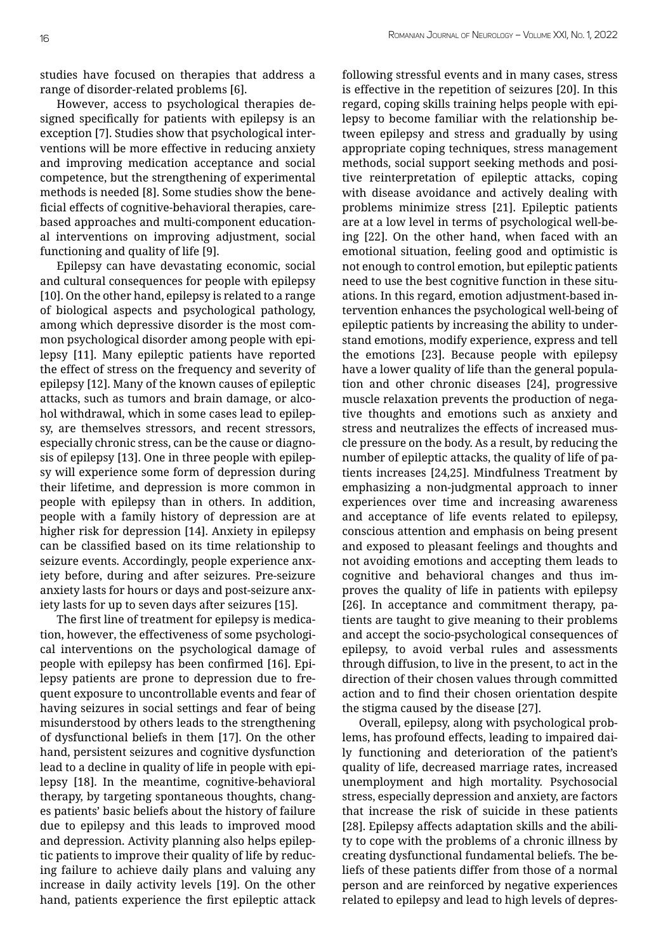studies have focused on therapies that address a range of disorder-related problems [6].

However, access to psychological therapies designed specifically for patients with epilepsy is an exception [7]. Studies show that psychological interventions will be more effective in reducing anxiety and improving medication acceptance and social competence, but the strengthening of experimental methods is needed [8]. Some studies show the beneficial effects of cognitive-behavioral therapies, carebased approaches and multi-component educational interventions on improving adjustment, social functioning and quality of life [9].

Epilepsy can have devastating economic, social and cultural consequences for people with epilepsy [10]. On the other hand, epilepsy is related to a range of biological aspects and psychological pathology, among which depressive disorder is the most common psychological disorder among people with epilepsy [11]. Many epileptic patients have reported the effect of stress on the frequency and severity of epilepsy [12]. Many of the known causes of epileptic attacks, such as tumors and brain damage, or alcohol withdrawal, which in some cases lead to epilepsy, are themselves stressors, and recent stressors, especially chronic stress, can be the cause or diagnosis of epilepsy [13]. One in three people with epilepsy will experience some form of depression during their lifetime, and depression is more common in people with epilepsy than in others. In addition, people with a family history of depression are at higher risk for depression [14]. Anxiety in epilepsy can be classified based on its time relationship to seizure events. Accordingly, people experience anxiety before, during and after seizures. Pre-seizure anxiety lasts for hours or days and post-seizure anxiety lasts for up to seven days after seizures [15].

The first line of treatment for epilepsy is medication, however, the effectiveness of some psychological interventions on the psychological damage of people with epilepsy has been confirmed [16]. Epilepsy patients are prone to depression due to frequent exposure to uncontrollable events and fear of having seizures in social settings and fear of being misunderstood by others leads to the strengthening of dysfunctional beliefs in them [17]. On the other hand, persistent seizures and cognitive dysfunction lead to a decline in quality of life in people with epilepsy [18]. In the meantime, cognitive-behavioral therapy, by targeting spontaneous thoughts, changes patients' basic beliefs about the history of failure due to epilepsy and this leads to improved mood and depression. Activity planning also helps epileptic patients to improve their quality of life by reducing failure to achieve daily plans and valuing any increase in daily activity levels [19]. On the other hand, patients experience the first epileptic attack

following stressful events and in many cases, stress is effective in the repetition of seizures [20]. In this regard, coping skills training helps people with epilepsy to become familiar with the relationship between epilepsy and stress and gradually by using appropriate coping techniques, stress management methods, social support seeking methods and positive reinterpretation of epileptic attacks, coping with disease avoidance and actively dealing with problems minimize stress [21]. Epileptic patients are at a low level in terms of psychological well-being [22]. On the other hand, when faced with an emotional situation, feeling good and optimistic is not enough to control emotion, but epileptic patients need to use the best cognitive function in these situations. In this regard, emotion adjustment-based intervention enhances the psychological well-being of epileptic patients by increasing the ability to understand emotions, modify experience, express and tell the emotions [23]. Because people with epilepsy have a lower quality of life than the general population and other chronic diseases [24], progressive muscle relaxation prevents the production of negative thoughts and emotions such as anxiety and stress and neutralizes the effects of increased muscle pressure on the body. As a result, by reducing the number of epileptic attacks, the quality of life of patients increases [24,25]. Mindfulness Treatment by emphasizing a non-judgmental approach to inner experiences over time and increasing awareness and acceptance of life events related to epilepsy, conscious attention and emphasis on being present and exposed to pleasant feelings and thoughts and not avoiding emotions and accepting them leads to cognitive and behavioral changes and thus improves the quality of life in patients with epilepsy [26]. In acceptance and commitment therapy, patients are taught to give meaning to their problems and accept the socio-psychological consequences of epilepsy, to avoid verbal rules and assessments through diffusion, to live in the present, to act in the direction of their chosen values through committed action and to find their chosen orientation despite the stigma caused by the disease [27].

Overall, epilepsy, along with psychological problems, has profound effects, leading to impaired daily functioning and deterioration of the patient's quality of life, decreased marriage rates, increased unemployment and high mortality. Psychosocial stress, especially depression and anxiety, are factors that increase the risk of suicide in these patients [28]. Epilepsy affects adaptation skills and the ability to cope with the problems of a chronic illness by creating dysfunctional fundamental beliefs. The beliefs of these patients differ from those of a normal person and are reinforced by negative experiences related to epilepsy and lead to high levels of depres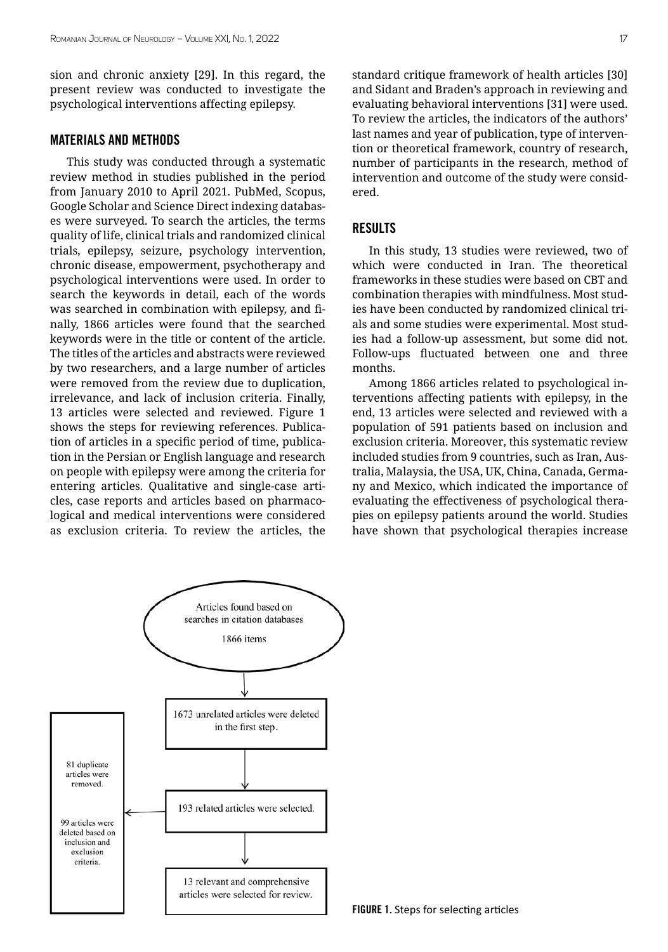sion and chronic anxiety [29]. In this regard, the present review was conducted to investigate the psychological interventions affecting epilepsy.

#### Materials and Methods

This study was conducted through a systematic review method in studies published in the period from January 2010 to April 2021. PubMed, Scopus, Google Scholar and Science Direct indexing databases were surveyed. To search the articles, the terms quality of life, clinical trials and randomized clinical trials, epilepsy, seizure, psychology intervention, chronic disease, empowerment, psychotherapy and psychological interventions were used. In order to search the keywords in detail, each of the words was searched in combination with epilepsy, and finally, 1866 articles were found that the searched keywords were in the title or content of the article. The titles of the articles and abstracts were reviewed by two researchers, and a large number of articles were removed from the review due to duplication, irrelevance, and lack of inclusion criteria. Finally, 13 articles were selected and reviewed. Figure 1 shows the steps for reviewing references. Publication of articles in a specific period of time, publication in the Persian or English language and research on people with epilepsy were among the criteria for entering articles. Qualitative and single-case articles, case reports and articles based on pharmacological and medical interventions were considered as exclusion criteria. To review the articles, the

standard critique framework of health articles [30] and Sidant and Braden's approach in reviewing and evaluating behavioral interventions [31] were used. To review the articles, the indicators of the authors' last names and year of publication, type of intervention or theoretical framework, country of research, number of participants in the research, method of intervention and outcome of the study were considered.

#### **RESULTS**

In this study, 13 studies were reviewed, two of which were conducted in Iran. The theoretical frameworks in these studies were based on CBT and combination therapies with mindfulness. Most studies have been conducted by randomized clinical trials and some studies were experimental. Most studies had a follow-up assessment, but some did not. Follow-ups fluctuated between one and three months.

Among 1866 articles related to psychological interventions affecting patients with epilepsy, in the end, 13 articles were selected and reviewed with a population of 591 patients based on inclusion and exclusion criteria. Moreover, this systematic review included studies from 9 countries, such as Iran, Australia, Malaysia, the USA, UK, China, Canada, Germany and Mexico, which indicated the importance of evaluating the effectiveness of psychological therapies on epilepsy patients around the world. Studies have shown that psychological therapies increase

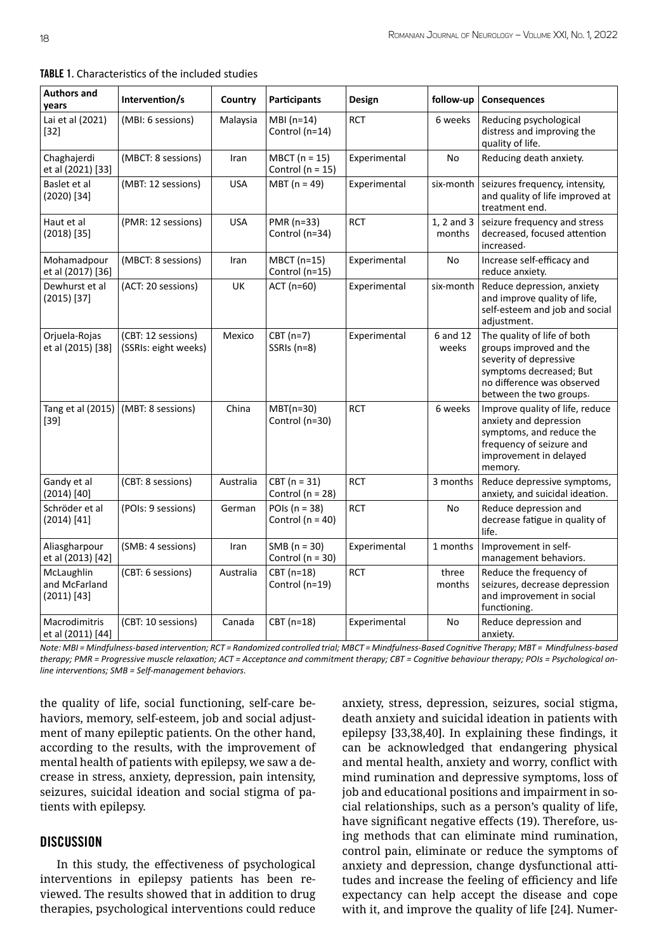| <b>Authors and</b><br>years                  | Intervention/s                             | Country    | <b>Participants</b>                       | Design       | follow-up            | Consequences                                                                                                                                                         |
|----------------------------------------------|--------------------------------------------|------------|-------------------------------------------|--------------|----------------------|----------------------------------------------------------------------------------------------------------------------------------------------------------------------|
| Lai et al (2021)<br>$[32]$                   | (MBI: 6 sessions)                          | Malaysia   | $MBI(n=14)$<br>Control (n=14)             | <b>RCT</b>   | 6 weeks              | Reducing psychological<br>distress and improving the<br>quality of life.                                                                                             |
| Chaghajerdi<br>et al (2021) [33]             | (MBCT: 8 sessions)                         | Iran       | $MBCT (n = 15)$<br>Control ( $n = 15$ )   | Experimental | <b>No</b>            | Reducing death anxiety.                                                                                                                                              |
| Baslet et al<br>(2020) [34]                  | (MBT: 12 sessions)                         | <b>USA</b> | $MBT (n = 49)$                            | Experimental | six-month            | seizures frequency, intensity,<br>and quality of life improved at<br>treatment end.                                                                                  |
| Haut et al<br>(2018) [35]                    | (PMR: 12 sessions)                         | <b>USA</b> | PMR (n=33)<br>Control (n=34)              | <b>RCT</b>   | 1, 2 and 3<br>months | seizure frequency and stress<br>decreased, focused attention<br>increased.                                                                                           |
| Mohamadpour<br>et al (2017) [36]             | (MBCT: 8 sessions)                         | Iran       | MBCT (n=15)<br>Control (n=15)             | Experimental | No                   | Increase self-efficacy and<br>reduce anxiety.                                                                                                                        |
| Dewhurst et al<br>$(2015)$ [37]              | (ACT: 20 sessions)                         | UK         | ACT (n=60)                                | Experimental | six-month            | Reduce depression, anxiety<br>and improve quality of life,<br>self-esteem and job and social<br>adjustment.                                                          |
| Orjuela-Rojas<br>et al (2015) [38]           | (CBT: 12 sessions)<br>(SSRIs: eight weeks) | Mexico     | $CBT(n=7)$<br>SSRIs (n=8)                 | Experimental | 6 and 12<br>weeks    | The quality of life of both<br>groups improved and the<br>severity of depressive<br>symptoms decreased; But<br>no difference was observed<br>between the two groups. |
| Tang et al (2015)<br>$[39]$                  | (MBT: 8 sessions)                          | China      | $MBT(n=30)$<br>Control (n=30)             | <b>RCT</b>   | 6 weeks              | Improve quality of life, reduce<br>anxiety and depression<br>symptoms, and reduce the<br>frequency of seizure and<br>improvement in delayed<br>memory.               |
| Gandy et al<br>$(2014)$ [40]                 | (CBT: 8 sessions)                          | Australia  | $CBT (n = 31)$<br>Control ( $n = 28$ )    | <b>RCT</b>   | 3 months             | Reduce depressive symptoms,<br>anxiety, and suicidal ideation.                                                                                                       |
| Schröder et al<br>(2014) [41]                | (POIs: 9 sessions)                         | German     | POIs ( $n = 38$ )<br>Control ( $n = 40$ ) | <b>RCT</b>   | No                   | Reduce depression and<br>decrease fatigue in quality of<br>life.                                                                                                     |
| Aliasgharpour<br>et al (2013) [42]           | (SMB: 4 sessions)                          | Iran       | $SMB (n = 30)$<br>Control ( $n = 30$ )    | Experimental | 1 months             | Improvement in self-<br>management behaviors.                                                                                                                        |
| McLaughlin<br>and McFarland<br>$(2011)$ [43] | (CBT: 6 sessions)                          | Australia  | CBT (n=18)<br>Control (n=19)              | <b>RCT</b>   | three<br>months      | Reduce the frequency of<br>seizures, decrease depression<br>and improvement in social<br>functioning.                                                                |
| Macrodimitris<br>et al (2011) [44]           | (CBT: 10 sessions)                         | Canada     | CBT (n=18)                                | Experimental | No                   | Reduce depression and<br>anxiety.                                                                                                                                    |

TABLE 1. Characteristics of the included studies

*Note: MBI = Mindfulness-based intervention; RCT = Randomized controlled trial; MBCT = Mindfulness-Based Cognitive Therapy; MBT = Mindfulness-based therapy; PMR = Progressive muscle relaxation; ACT = Acceptance and commitment therapy; CBT = Cognitive behaviour therapy; POIs = Psychological online interventions; SMB = Self-management behaviors.*

the quality of life, social functioning, self-care behaviors, memory, self-esteem, job and social adjustment of many epileptic patients. On the other hand, according to the results, with the improvement of mental health of patients with epilepsy, we saw a decrease in stress, anxiety, depression, pain intensity, seizures, suicidal ideation and social stigma of patients with epilepsy.

## **DISCUSSION**

In this study, the effectiveness of psychological interventions in epilepsy patients has been reviewed. The results showed that in addition to drug therapies, psychological interventions could reduce

anxiety, stress, depression, seizures, social stigma, death anxiety and suicidal ideation in patients with epilepsy [33,38,40]. In explaining these findings, it can be acknowledged that endangering physical and mental health, anxiety and worry, conflict with mind rumination and depressive symptoms, loss of job and educational positions and impairment in social relationships, such as a person's quality of life, have significant negative effects (19). Therefore, using methods that can eliminate mind rumination, control pain, eliminate or reduce the symptoms of anxiety and depression, change dysfunctional attitudes and increase the feeling of efficiency and life expectancy can help accept the disease and cope with it, and improve the quality of life [24]. Numer-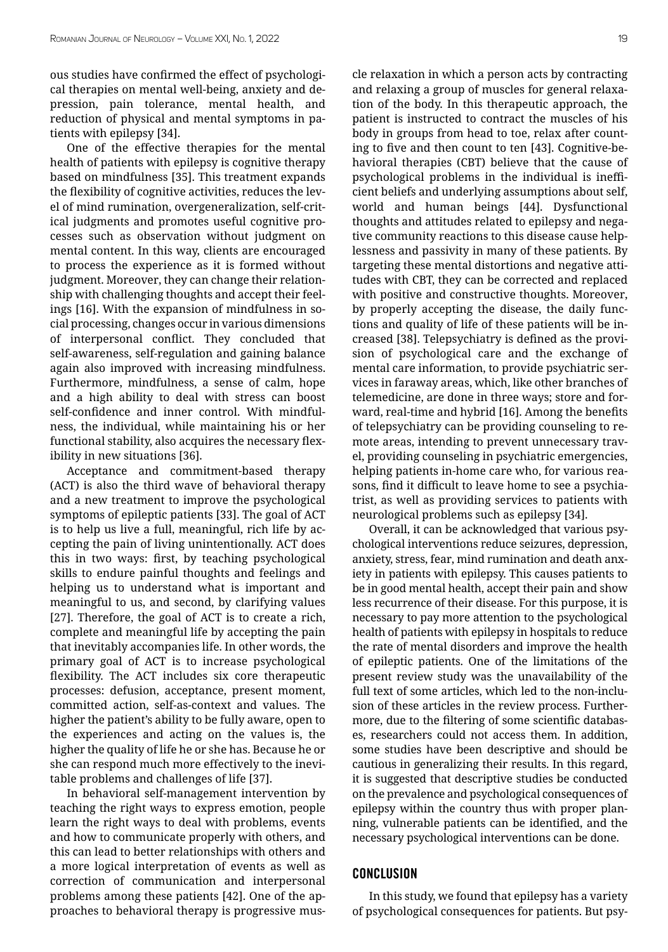ous studies have confirmed the effect of psychological therapies on mental well-being, anxiety and depression, pain tolerance, mental health, and reduction of physical and mental symptoms in patients with epilepsy [34].

One of the effective therapies for the mental health of patients with epilepsy is cognitive therapy based on mindfulness [35]. This treatment expands the flexibility of cognitive activities, reduces the level of mind rumination, overgeneralization, self-critical judgments and promotes useful cognitive processes such as observation without judgment on mental content. In this way, clients are encouraged to process the experience as it is formed without judgment. Moreover, they can change their relationship with challenging thoughts and accept their feelings [16]. With the expansion of mindfulness in social processing, changes occur in various dimensions of interpersonal conflict. They concluded that self-awareness, self-regulation and gaining balance again also improved with increasing mindfulness. Furthermore, mindfulness, a sense of calm, hope and a high ability to deal with stress can boost self-confidence and inner control. With mindfulness, the individual, while maintaining his or her functional stability, also acquires the necessary flexibility in new situations [36].

Acceptance and commitment-based therapy (ACT) is also the third wave of behavioral therapy and a new treatment to improve the psychological symptoms of epileptic patients [33]. The goal of ACT is to help us live a full, meaningful, rich life by accepting the pain of living unintentionally. ACT does this in two ways: first, by teaching psychological skills to endure painful thoughts and feelings and helping us to understand what is important and meaningful to us, and second, by clarifying values [27]. Therefore, the goal of ACT is to create a rich, complete and meaningful life by accepting the pain that inevitably accompanies life. In other words, the primary goal of ACT is to increase psychological flexibility. The ACT includes six core therapeutic processes: defusion, acceptance, present moment, committed action, self-as-context and values. The higher the patient's ability to be fully aware, open to the experiences and acting on the values is, the higher the quality of life he or she has. Because he or she can respond much more effectively to the inevitable problems and challenges of life [37].

In behavioral self-management intervention by teaching the right ways to express emotion, people learn the right ways to deal with problems, events and how to communicate properly with others, and this can lead to better relationships with others and a more logical interpretation of events as well as correction of communication and interpersonal problems among these patients [42]. One of the approaches to behavioral therapy is progressive muscle relaxation in which a person acts by contracting and relaxing a group of muscles for general relaxation of the body. In this therapeutic approach, the patient is instructed to contract the muscles of his body in groups from head to toe, relax after counting to five and then count to ten [43]. Cognitive-behavioral therapies (CBT) believe that the cause of psychological problems in the individual is inefficient beliefs and underlying assumptions about self, world and human beings [44]. Dysfunctional thoughts and attitudes related to epilepsy and negative community reactions to this disease cause helplessness and passivity in many of these patients. By targeting these mental distortions and negative attitudes with CBT, they can be corrected and replaced with positive and constructive thoughts. Moreover, by properly accepting the disease, the daily functions and quality of life of these patients will be increased [38]. Telepsychiatry is defined as the provision of psychological care and the exchange of mental care information, to provide psychiatric services in faraway areas, which, like other branches of telemedicine, are done in three ways; store and forward, real-time and hybrid [16]. Among the benefits of telepsychiatry can be providing counseling to remote areas, intending to prevent unnecessary travel, providing counseling in psychiatric emergencies, helping patients in-home care who, for various reasons, find it difficult to leave home to see a psychiatrist, as well as providing services to patients with neurological problems such as epilepsy [34].

Overall, it can be acknowledged that various psychological interventions reduce seizures, depression, anxiety, stress, fear, mind rumination and death anxiety in patients with epilepsy. This causes patients to be in good mental health, accept their pain and show less recurrence of their disease. For this purpose, it is necessary to pay more attention to the psychological health of patients with epilepsy in hospitals to reduce the rate of mental disorders and improve the health of epileptic patients. One of the limitations of the present review study was the unavailability of the full text of some articles, which led to the non-inclusion of these articles in the review process. Furthermore, due to the filtering of some scientific databases, researchers could not access them. In addition, some studies have been descriptive and should be cautious in generalizing their results. In this regard, it is suggested that descriptive studies be conducted on the prevalence and psychological consequences of epilepsy within the country thus with proper planning, vulnerable patients can be identified, and the necessary psychological interventions can be done.

## **CONCLUSION**

In this study, we found that epilepsy has a variety of psychological consequences for patients. But psy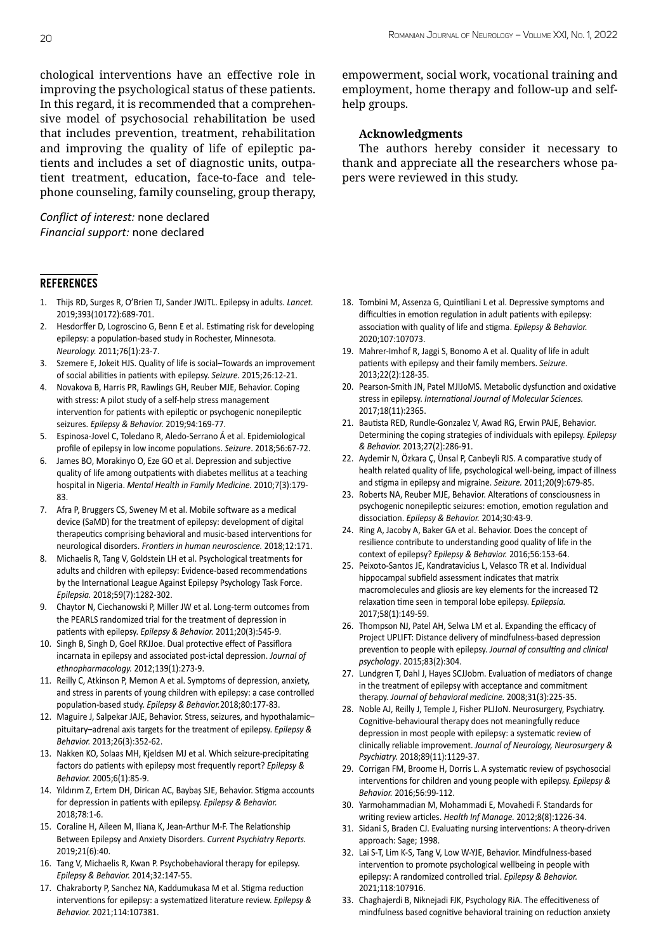chological interventions have an effective role in improving the psychological status of these patients. In this regard, it is recommended that a comprehensive model of psychosocial rehabilitation be used that includes prevention, treatment, rehabilitation and improving the quality of life of epileptic patients and includes a set of diagnostic units, outpatient treatment, education, face-to-face and telephone counseling, family counseling, group therapy,

## *Conflict of interest:* none declared *Financial support:* none declared

#### **REFERENCES**

- 1. Thijs RD, Surges R, O'Brien TJ, Sander JWJTL. Epilepsy in adults. *Lancet.*  2019;393(10172):689-701.
- 2. Hesdorffer D, Logroscino G, Benn E et al. Estimating risk for developing epilepsy: a population-based study in Rochester, Minnesota. *Neurology.* 2011;76(1):23-7.
- 3. Szemere E, Jokeit HJS. Quality of life is social–Towards an improvement of social abilities in patients with epilepsy. *Seizure.* 2015;26:12-21.
- 4. Novakova B, Harris PR, Rawlings GH, Reuber MJE, Behavior. Coping with stress: A pilot study of a self-help stress management intervention for patients with epileptic or psychogenic nonepileptic seizures. *Epilepsy & Behavior.* 2019;94:169-77.
- 5. Espinosa-Jovel C, Toledano R, Aledo-Serrano Á et al. Epidemiological profile of epilepsy in low income populations. *Seizure*. 2018;56:67-72.
- 6. James BO, Morakinyo O, Eze GO et al. Depression and subjective quality of life among outpatients with diabetes mellitus at a teaching hospital in Nigeria. *Mental Health in Family Medicine.* 2010;7(3):179- 83.
- 7. Afra P, Bruggers CS, Sweney M et al. Mobile software as a medical device (SaMD) for the treatment of epilepsy: development of digital therapeutics comprising behavioral and music-based interventions for neurological disorders. *Frontiers in human neuroscience.* 2018;12:171.
- 8. Michaelis R, Tang V, Goldstein LH et al. Psychological treatments for adults and children with epilepsy: Evidence‐based recommendations by the International League Against Epilepsy Psychology Task Force. *Epilepsia.* 2018;59(7):1282-302.
- 9. Chaytor N, Ciechanowski P, Miller JW et al. Long-term outcomes from the PEARLS randomized trial for the treatment of depression in patients with epilepsy. *Epilepsy & Behavior.* 2011;20(3):545-9.
- 10. Singh B, Singh D, Goel RKJJoe. Dual protective effect of Passiflora incarnata in epilepsy and associated post-ictal depression. *Journal of ethnopharmacology.* 2012;139(1):273-9.
- 11. Reilly C, Atkinson P, Memon A et al. Symptoms of depression, anxiety, and stress in parents of young children with epilepsy: a case controlled population-based study. *Epilepsy & Behavior.*2018;80:177-83.
- 12. Maguire J, Salpekar JAJE, Behavior. Stress, seizures, and hypothalamic– pituitary–adrenal axis targets for the treatment of epilepsy. *Epilepsy & Behavior.* 2013;26(3):352-62.
- 13. Nakken KO, Solaas MH, Kjeldsen MJ et al. Which seizure-precipitating factors do patients with epilepsy most frequently report? *Epilepsy & Behavior.* 2005;6(1):85-9.
- 14. Yıldırım Z, Ertem DH, Dirican AC, Baybaş SJE, Behavior. Stigma accounts for depression in patients with epilepsy. *Epilepsy & Behavior.*  2018;78:1-6.
- 15. Coraline H, Aileen M, Iliana K, Jean-Arthur M-F. The Relationship Between Epilepsy and Anxiety Disorders. *Current Psychiatry Reports.*  2019;21(6):40.
- 16. Tang V, Michaelis R, Kwan P. Psychobehavioral therapy for epilepsy. *Epilepsy & Behavior.* 2014;32:147-55.
- 17. Chakraborty P, Sanchez NA, Kaddumukasa M et al. Stigma reduction interventions for epilepsy: a systematized literature review. *Epilepsy & Behavior.* 2021;114:107381.

empowerment, social work, vocational training and employment, home therapy and follow-up and selfhelp groups.

## **Acknowledgments**

The authors hereby consider it necessary to thank and appreciate all the researchers whose papers were reviewed in this study.

- 18. Tombini M, Assenza G, Quintiliani L et al. Depressive symptoms and difficulties in emotion regulation in adult patients with epilepsy: association with quality of life and stigma. *Epilepsy & Behavior.*  2020;107:107073.
- 19. Mahrer-Imhof R, Jaggi S, Bonomo A et al. Quality of life in adult patients with epilepsy and their family members. *Seizure.*  2013;22(2):128-35.
- 20. Pearson-Smith JN, Patel MJIJoMS. Metabolic dysfunction and oxidative stress in epilepsy. *International Journal of Molecular Sciences.*  2017;18(11):2365.
- 21. Bautista RED, Rundle-Gonzalez V, Awad RG, Erwin PAJE, Behavior. Determining the coping strategies of individuals with epilepsy. *Epilepsy & Behavior.* 2013;27(2):286-91.
- 22. Aydemir N, Özkara Ç, Ünsal P, Canbeyli RJS. A comparative study of health related quality of life, psychological well-being, impact of illness and stigma in epilepsy and migraine. *Seizure.* 2011;20(9):679-85.
- 23. Roberts NA, Reuber MJE, Behavior. Alterations of consciousness in psychogenic nonepileptic seizures: emotion, emotion regulation and dissociation. *Epilepsy & Behavior.* 2014;30:43-9.
- 24. Ring A, Jacoby A, Baker GA et al. Behavior. Does the concept of resilience contribute to understanding good quality of life in the context of epilepsy? *Epilepsy & Behavior.* 2016;56:153-64.
- 25. Peixoto‐Santos JE, Kandratavicius L, Velasco TR et al. Individual hippocampal subfield assessment indicates that matrix macromolecules and gliosis are key elements for the increased T2 relaxation time seen in temporal lobe epilepsy. *Epilepsia.*  2017;58(1):149-59.
- 26. Thompson NJ, Patel AH, Selwa LM et al. Expanding the efficacy of Project UPLIFT: Distance delivery of mindfulness-based depression prevention to people with epilepsy. *Journal of consulting and clinical psychology*. 2015;83(2):304.
- 27. Lundgren T, Dahl J, Hayes SCJJobm. Evaluation of mediators of change in the treatment of epilepsy with acceptance and commitment therapy. *Journal of behavioral medicine.* 2008;31(3):225-35.
- 28. Noble AJ, Reilly J, Temple J, Fisher PLJJoN. Neurosurgery, Psychiatry. Cognitive-behavioural therapy does not meaningfully reduce depression in most people with epilepsy: a systematic review of clinically reliable improvement. *Journal of Neurology, Neurosurgery & Psychiatry.* 2018;89(11):1129-37.
- 29. Corrigan FM, Broome H, Dorris L. A systematic review of psychosocial interventions for children and young people with epilepsy. *Epilepsy & Behavior.* 2016;56:99-112.
- 30. Yarmohammadian M, Mohammadi E, Movahedi F. Standards for writing review articles. *Health Inf Manage.* 2012;8(8):1226-34.
- 31. Sidani S, Braden CJ. Evaluating nursing interventions: A theory-driven approach: Sage; 1998.
- 32. Lai S-T, Lim K-S, Tang V, Low W-YJE, Behavior. Mindfulness-based intervention to promote psychological wellbeing in people with epilepsy: A randomized controlled trial. *Epilepsy & Behavior.*  2021;118:107916.
- 33. Chaghajerdi B, Niknejadi FJK, Psychology RiA. The effecitiveness of mindfulness based cognitive behavioral training on reduction anxiety